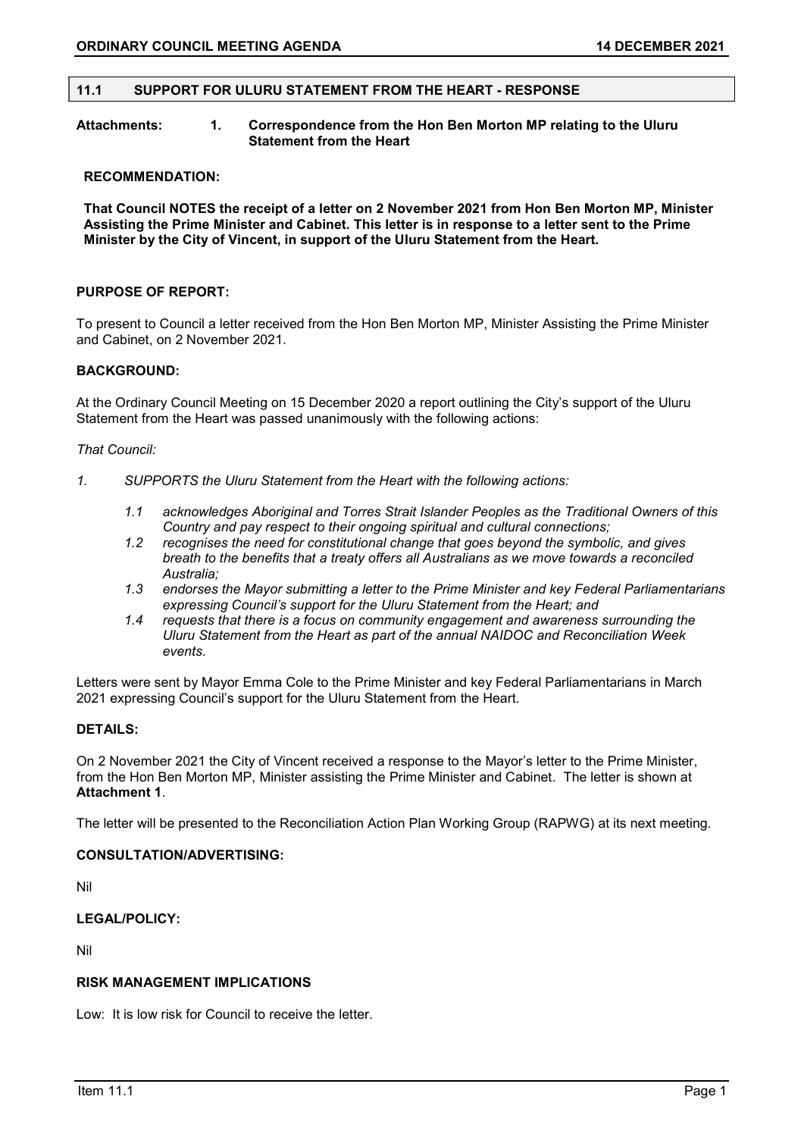## 11.1 SUPPORT FOR ULURU STATEMENT FROM THE HEART - RESPONSE

## Attachments: 1. Correspondence from the Hon Ben Morton MP relating to the Uluru Statement from the Heart

### RECOMMENDATION:

That Council NOTES the receipt of a letter on 2 November 2021 from Hon Ben Morton MP, Minister Assisting the Prime Minister and Cabinet. This letter is in response to a letter sent to the Prime Minister by the City of Vincent, in support of the Uluru Statement from the Heart.

### PURPOSE OF REPORT:

To present to Council a letter received from the Hon Ben Morton MP, Minister Assisting the Prime Minister and Cabinet, on 2 November 2021.

### BACKGROUND:

At the Ordinary Council Meeting on 15 December 2020 a report outlining the City's support of the Uluru Statement from the Heart was passed unanimously with the following actions:

### That Council:

- 1. SUPPORTS the Uluru Statement from the Heart with the following actions:
	- 1.1 acknowledges Aboriginal and Torres Strait Islander Peoples as the Traditional Owners of this Country and pay respect to their ongoing spiritual and cultural connections;
	- 1.2 recognises the need for constitutional change that goes beyond the symbolic, and gives breath to the benefits that a treaty offers all Australians as we move towards a reconciled Australia;
	- 1.3 endorses the Mayor submitting a letter to the Prime Minister and key Federal Parliamentarians expressing Council's support for the Uluru Statement from the Heart; and
	- 1.4 requests that there is a focus on community engagement and awareness surrounding the Uluru Statement from the Heart as part of the annual NAIDOC and Reconciliation Week events.

Letters were sent by Mayor Emma Cole to the Prime Minister and key Federal Parliamentarians in March 2021 expressing Council's support for the Uluru Statement from the Heart.

### DETAILS:

On 2 November 2021 the City of Vincent received a response to the Mayor's letter to the Prime Minister, from the Hon Ben Morton MP, Minister assisting the Prime Minister and Cabinet. The letter is shown at Attachment 1.

The letter will be presented to the Reconciliation Action Plan Working Group (RAPWG) at its next meeting.

## CONSULTATION/ADVERTISING:

Nil

# LEGAL/POLICY:

Nil

## RISK MANAGEMENT IMPLICATIONS

Low: It is low risk for Council to receive the letter.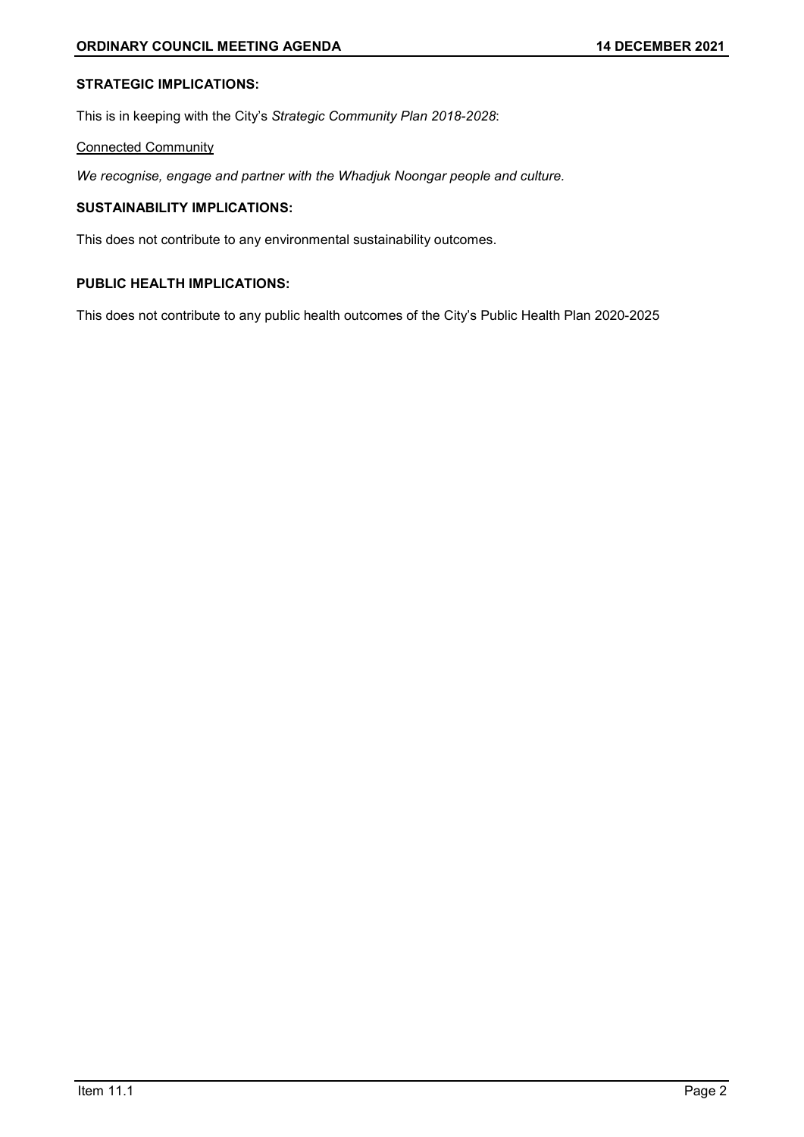# STRATEGIC IMPLICATIONS:

This is in keeping with the City's Strategic Community Plan 2018-2028:

## Connected Community

We recognise, engage and partner with the Whadjuk Noongar people and culture.

## SUSTAINABILITY IMPLICATIONS:

This does not contribute to any environmental sustainability outcomes.

## PUBLIC HEALTH IMPLICATIONS:

This does not contribute to any public health outcomes of the City's Public Health Plan 2020-2025